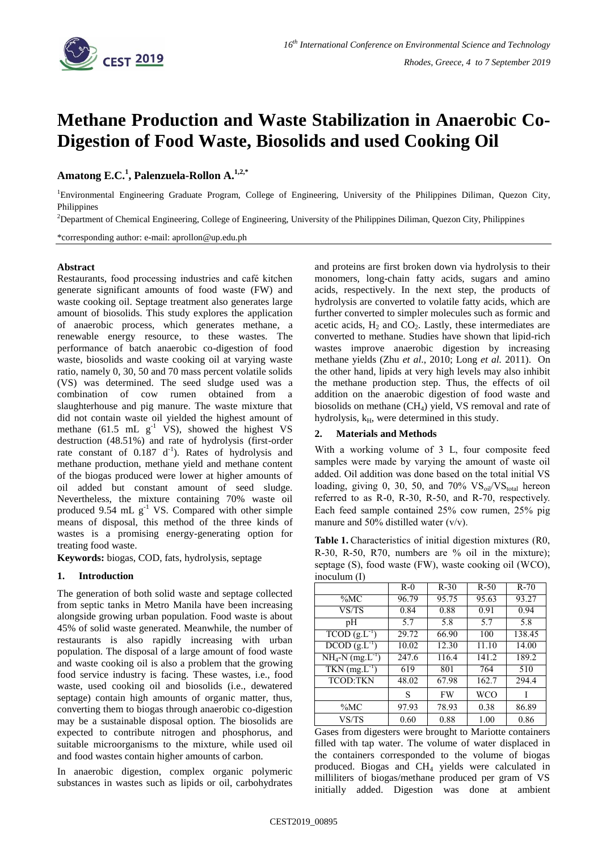

# **Methane Production and Waste Stabilization in Anaerobic Co-Digestion of Food Waste, Biosolids and used Cooking Oil**

# **Amatong E.C.<sup>1</sup> , Palenzuela-Rollon A. 1,2,\***

<sup>1</sup>Environmental Engineering Graduate Program, College of Engineering, University of the Philippines Diliman, Quezon City, Philippines

<sup>2</sup>Department of Chemical Engineering, College of Engineering, University of the Philippines Diliman, Quezon City, Philippines

\*corresponding author: e-mail: aprollon@up.edu.ph

#### **Abstract**

Restaurants, food processing industries and café kitchen generate significant amounts of food waste (FW) and waste cooking oil. Septage treatment also generates large amount of biosolids. This study explores the application of anaerobic process, which generates methane, a renewable energy resource, to these wastes. The performance of batch anaerobic co-digestion of food waste, biosolids and waste cooking oil at varying waste ratio, namely 0, 30, 50 and 70 mass percent volatile solids (VS) was determined. The seed sludge used was a combination of cow rumen obtained from a slaughterhouse and pig manure. The waste mixture that did not contain waste oil yielded the highest amount of methane (61.5 mL  $g^{-1}$  VS), showed the highest VS destruction (48.51%) and rate of hydrolysis (first-order rate constant of  $0.187 \, \mathrm{d}^{-1}$ ). Rates of hydrolysis and methane production, methane yield and methane content of the biogas produced were lower at higher amounts of oil added but constant amount of seed sludge. Nevertheless, the mixture containing 70% waste oil produced 9.54 mL  $g^{-1}$  VS. Compared with other simple means of disposal, this method of the three kinds of wastes is a promising energy-generating option for treating food waste.

**Keywords:** biogas, COD, fats, hydrolysis, septage

### **1. Introduction**

The generation of both solid waste and septage collected from septic tanks in Metro Manila have been increasing alongside growing urban population. Food waste is about 45% of solid waste generated. Meanwhile, the number of restaurants is also rapidly increasing with urban population. The disposal of a large amount of food waste and waste cooking oil is also a problem that the growing food service industry is facing. These wastes, i.e., food waste, used cooking oil and biosolids (i.e., dewatered septage) contain high amounts of organic matter, thus, converting them to biogas through anaerobic co-digestion may be a sustainable disposal option. The biosolids are expected to contribute nitrogen and phosphorus, and suitable microorganisms to the mixture, while used oil and food wastes contain higher amounts of carbon.

In anaerobic digestion, complex organic polymeric substances in wastes such as lipids or oil, carbohydrates

and proteins are first broken down via hydrolysis to their monomers, long-chain fatty acids, sugars and amino acids, respectively. In the next step, the products of hydrolysis are converted to volatile fatty acids, which are further converted to simpler molecules such as formic and acetic acids,  $H_2$  and  $CO_2$ . Lastly, these intermediates are converted to methane. Studies have shown that lipid-rich wastes improve anaerobic digestion by increasing methane yields (Zhu *et al*., 2010; Long *et al.* 2011). On the other hand, lipids at very high levels may also inhibit the methane production step. Thus, the effects of oil addition on the anaerobic digestion of food waste and biosolids on methane (CH4) yield, VS removal and rate of hydrolysis,  $k_H$ , were determined in this study.

### **2. Materials and Methods**

With a working volume of 3 L, four composite feed samples were made by varying the amount of waste oil added. Oil addition was done based on the total initial VS loading, giving 0, 30, 50, and 70%  $VS_{\text{oil}}/VS_{\text{total}}$  hereon referred to as R-0, R-30, R-50, and R-70, respectively. Each feed sample contained 25% cow rumen, 25% pig manure and 50% distilled water  $(v/v)$ .

**Table 1.** Characteristics of initial digestion mixtures (R0, R-30, R-50, R70, numbers are % oil in the mixture); septage (S), food waste (FW), waste cooking oil (WCO), inoculum (I)

| $\cdots$                                      |       |           |        |        |
|-----------------------------------------------|-------|-----------|--------|--------|
|                                               | $R-0$ | $R-30$    | $R-50$ | $R-70$ |
| $\%MC$                                        | 96.79 | 95.75     | 95.63  | 93.27  |
| VS/TS                                         | 0.84  | 0.88      | 0.91   | 0.94   |
| pH                                            | 5.7   | 5.8       | 5.7    | 5.8    |
| $TCOD (g.L^{-1})$                             | 29.72 | 66.90     | 100    | 138.45 |
| $\overline{DCOD}$ $(g.L^{-1})$                | 10.02 | 12.30     | 11.10  | 14.00  |
| $NH_4-N$ (mg. $L^{-1}$ )                      | 247.6 | 116.4     | 141.2  | 189.2  |
| $\overline{\text{TKN}}$ (mg.L <sup>-1</sup> ) | 619   | 801       | 764    | 510    |
| <b>TCOD:TKN</b>                               | 48.02 | 67.98     | 162.7  | 294.4  |
|                                               | S     | <b>FW</b> | WCO    |        |
| $\%MC$                                        | 97.93 | 78.93     | 0.38   | 86.89  |
| VS/TS                                         | 0.60  | 0.88      | 1.00   | 0.86   |

Gases from digesters were brought to Mariotte containers filled with tap water. The volume of water displaced in the containers corresponded to the volume of biogas produced. Biogas and CH<sup>4</sup> yields were calculated in milliliters of biogas/methane produced per gram of VS initially added. Digestion was done at ambient